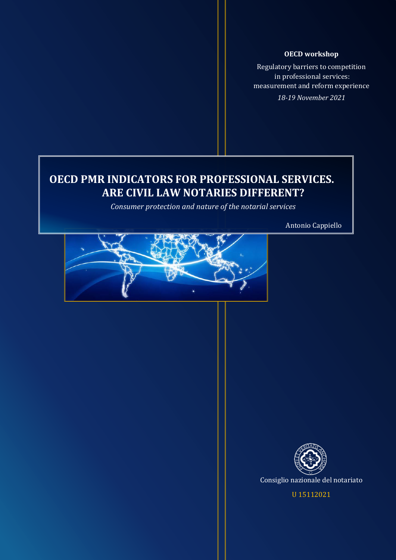Regulatory barriers to competition in professional services: measurement and reform experience *18-19 November 2021*

# **OECD PMR INDICATORS FOR PROFESSIONAL SERVICES. ARE CIVIL LAW NOTARIES DIFFERENT?**

*Consumer protection and nature of the notarial services*

Antonio Cappiello





U 15112021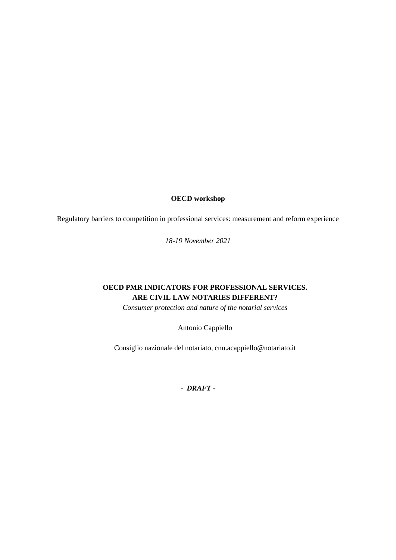Regulatory barriers to competition in professional services: measurement and reform experience

*18-19 November 2021*

# **OECD PMR INDICATORS FOR PROFESSIONAL SERVICES. ARE CIVIL LAW NOTARIES DIFFERENT?**

*Consumer protection and nature of the notarial services*

Antonio Cappiello

Consiglio nazionale del notariato, cnn.acappiello@notariato.it

*- DRAFT -*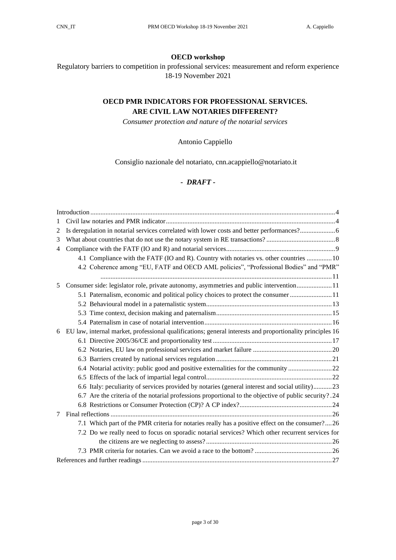Regulatory barriers to competition in professional services: measurement and reform experience 18-19 November 2021

# **OECD PMR INDICATORS FOR PROFESSIONAL SERVICES. ARE CIVIL LAW NOTARIES DIFFERENT?**

*Consumer protection and nature of the notarial services*

# Antonio Cappiello

Consiglio nazionale del notariato, cnn.acappiello@notariato.it

# *- DRAFT -*

| 2              | Is deregulation in notarial services correlated with lower costs and better performances?6                |
|----------------|-----------------------------------------------------------------------------------------------------------|
| 3              |                                                                                                           |
| $\overline{4}$ |                                                                                                           |
|                | 4.1 Compliance with the FATF (IO and R). Country with notaries vs. other countries  10                    |
|                | 4.2 Coherence among "EU, FATF and OECD AML policies", "Professional Bodies" and "PMR"                     |
|                |                                                                                                           |
| 5              | Consumer side: legislator role, private autonomy, asymmetries and public intervention 11                  |
|                | 5.1 Paternalism, economic and political policy choices to protect the consumer                            |
|                |                                                                                                           |
|                |                                                                                                           |
|                |                                                                                                           |
| 6              | EU law, internal market, professional qualifications; general interests and proportionality principles 16 |
|                |                                                                                                           |
|                |                                                                                                           |
|                |                                                                                                           |
|                | 6.4 Notarial activity: public good and positive externalities for the community 22                        |
|                |                                                                                                           |
|                | 6.6 Italy: peculiarity of services provided by notaries (general interest and social utility)23           |
|                | 6.7 Are the criteria of the notarial professions proportional to the objective of public security?.24     |
|                |                                                                                                           |
| 7              |                                                                                                           |
|                | 7.1 Which part of the PMR criteria for notaries really has a positive effect on the consumer?26           |
|                | 7.2 Do we really need to focus on sporadic notarial services? Which other recurrent services for          |
|                |                                                                                                           |
|                |                                                                                                           |
|                |                                                                                                           |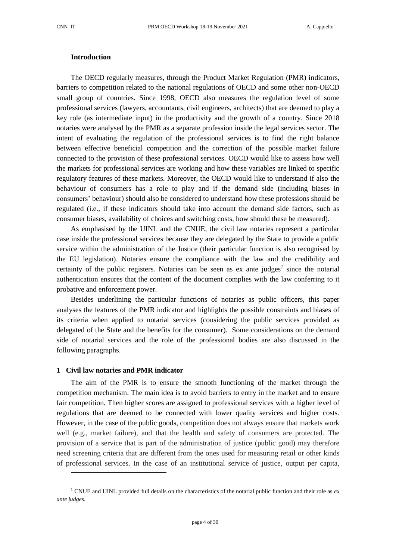# <span id="page-3-0"></span>**Introduction**

The OECD regularly measures, through the Product Market Regulation (PMR) indicators, barriers to competition related to the national regulations of OECD and some other non-OECD small group of countries. Since 1998, OECD also measures the regulation level of some professional services (lawyers, accountants, civil engineers, architects) that are deemed to play a key role (as intermediate input) in the productivity and the growth of a country. Since 2018 notaries were analysed by the PMR as a separate profession inside the legal services sector. The intent of evaluating the regulation of the professional services is to find the right balance between effective beneficial competition and the correction of the possible market failure connected to the provision of these professional services. OECD would like to assess how well the markets for professional services are working and how these variables are linked to specific regulatory features of these markets. Moreover, the OECD would like to understand if also the behaviour of consumers has a role to play and if the demand side (including biases in consumers' behaviour) should also be considered to understand how these professions should be regulated (i.e., if these indicators should take into account the demand side factors, such as consumer biases, availability of choices and switching costs, how should these be measured).

As emphasised by the UINL and the CNUE, the civil law notaries represent a particular case inside the professional services because they are delegated by the State to provide a public service within the administration of the Justice (their particular function is also recognised by the EU legislation). Notaries ensure the compliance with the law and the credibility and certainty of the public registers. Notaries can be seen as ex ante judges<sup>1</sup> since the notarial authentication ensures that the content of the document complies with the law conferring to it probative and enforcement power.

Besides underlining the particular functions of notaries as public officers, this paper analyses the features of the PMR indicator and highlights the possible constraints and biases of its criteria when applied to notarial services (considering the public services provided as delegated of the State and the benefits for the consumer). Some considerations on the demand side of notarial services and the role of the professional bodies are also discussed in the following paragraphs.

#### <span id="page-3-1"></span>**1 Civil law notaries and PMR indicator**

The aim of the PMR is to ensure the smooth functioning of the market through the competition mechanism. The main idea is to avoid barriers to entry in the market and to ensure fair competition. Then higher scores are assigned to professional services with a higher level of regulations that are deemed to be connected with lower quality services and higher costs. However, in the case of the public goods, competition does not always ensure that markets work well (e.g., market failure), and that the health and safety of consumers are protected. The provision of a service that is part of the administration of justice (public good) may therefore need screening criteria that are different from the ones used for measuring retail or other kinds of professional services. In the case of an institutional service of justice, output per capita,

<sup>1</sup> CNUE and UINL provided full details on the characteristics of the notarial public function and their role as *ex ante judges*.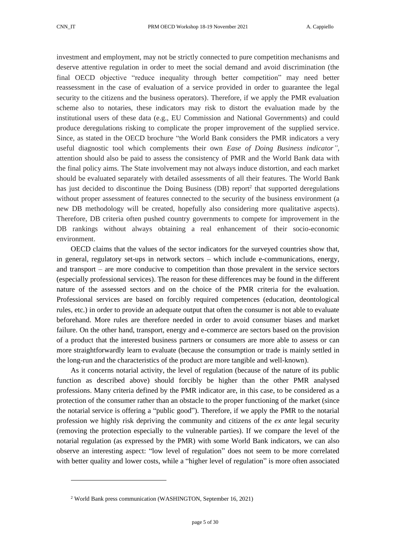investment and employment, may not be strictly connected to pure competition mechanisms and deserve attentive regulation in order to meet the social demand and avoid discrimination (the final OECD objective "reduce inequality through better competition" may need better reassessment in the case of evaluation of a service provided in order to guarantee the legal security to the citizens and the business operators). Therefore, if we apply the PMR evaluation scheme also to notaries, these indicators may risk to distort the evaluation made by the institutional users of these data (e.g., EU Commission and National Governments) and could produce deregulations risking to complicate the proper improvement of the supplied service. Since, as stated in the OECD brochure "the World Bank considers the PMR indicators a very useful diagnostic tool which complements their own *Ease of Doing Business indicator",* attention should also be paid to assess the consistency of PMR and the World Bank data with the final policy aims. The State involvement may not always induce distortion, and each market should be evaluated separately with detailed assessments of all their features. The World Bank has just decided to discontinue the Doing Business (DB) report<sup>2</sup> that supported deregulations without proper assessment of features connected to the security of the business environment (a new DB methodology will be created, hopefully also considering more qualitative aspects). Therefore, DB criteria often pushed country governments to compete for improvement in the DB rankings without always obtaining a real enhancement of their socio-economic environment.

OECD claims that the values of the sector indicators for the surveyed countries show that, in general, regulatory set-ups in network sectors – which include e-communications, energy, and transport – are more conducive to competition than those prevalent in the service sectors (especially professional services). The reason for these differences may be found in the different nature of the assessed sectors and on the choice of the PMR criteria for the evaluation. Professional services are based on forcibly required competences (education, deontological rules, etc.) in order to provide an adequate output that often the consumer is not able to evaluate beforehand. More rules are therefore needed in order to avoid consumer biases and market failure. On the other hand, transport, energy and e-commerce are sectors based on the provision of a product that the interested business partners or consumers are more able to assess or can more straightforwardly learn to evaluate (because the consumption or trade is mainly settled in the long-run and the characteristics of the product are more tangible and well-known).

As it concerns notarial activity, the level of regulation (because of the nature of its public function as described above) should forcibly be higher than the other PMR analysed professions. Many criteria defined by the PMR indicator are, in this case, to be considered as a protection of the consumer rather than an obstacle to the proper functioning of the market (since the notarial service is offering a "public good"). Therefore, if we apply the PMR to the notarial profession we highly risk depriving the community and citizens of the *ex ante* legal security (removing the protection especially to the vulnerable parties). If we compare the level of the notarial regulation (as expressed by the PMR) with some World Bank indicators, we can also observe an interesting aspect: "low level of regulation" does not seem to be more correlated with better quality and lower costs, while a "higher level of regulation" is more often associated

<sup>2</sup> World Bank press communication (WASHINGTON, September 16, 2021)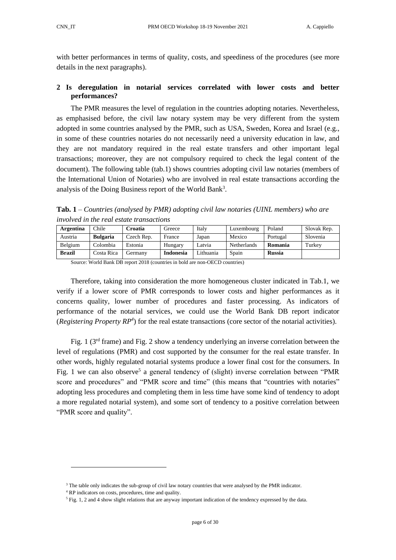with better performances in terms of quality, costs, and speediness of the procedures (see more details in the next paragraphs).

# <span id="page-5-0"></span>**2 Is deregulation in notarial services correlated with lower costs and better performances?**

The PMR measures the level of regulation in the countries adopting notaries. Nevertheless, as emphasised before, the civil law notary system may be very different from the system adopted in some countries analysed by the PMR, such as USA, Sweden, Korea and Israel (e.g., in some of these countries notaries do not necessarily need a university education in law, and they are not mandatory required in the real estate transfers and other important legal transactions; moreover, they are not compulsory required to check the legal content of the document). The following table (tab.1) shows countries adopting civil law notaries (members of the International Union of Notaries) who are involved in real estate transactions according the analysis of the Doing Business report of the World Bank<sup>3</sup>.

**Tab. 1** *– Countries (analysed by PMR) adopting civil law notaries (UINL members) who are involved in the real estate transactions*

| <b>Argentina</b> | Chile           | Croatia    | Greece           | Italy     | Luxembourg         | Poland        | Slovak Rep. |
|------------------|-----------------|------------|------------------|-----------|--------------------|---------------|-------------|
| Austria          | <b>Bulgaria</b> | Czech Rep. | France           | Japan     | Mexico             | Portugal      | Slovenia    |
| Belgium          | Colombia        | Estonia    | Hungary          | Latvia    | <b>Netherlands</b> | Romania       | Turkey      |
| <b>Brazil</b>    | Costa Rica      | Germanv    | <b>Indonesia</b> | Lithuania | Spain              | <b>Russia</b> |             |

Source: World Bank DB report 2018 (countries in bold are non-OECD countries)

Therefore, taking into consideration the more homogeneous cluster indicated in Tab.1, we verify if a lower score of PMR corresponds to lower costs and higher performances as it concerns quality, lower number of procedures and faster processing. As indicators of performance of the notarial services, we could use the World Bank DB report indicator (*Registering Property RP<sup>4</sup>* ) for the real estate transactions (core sector of the notarial activities).

Fig. 1 ( $3<sup>rd</sup>$  frame) and Fig. 2 show a tendency underlying an inverse correlation between the level of regulations (PMR) and cost supported by the consumer for the real estate transfer. In other words, highly regulated notarial systems produce a lower final cost for the consumers. In Fig. 1 we can also observe<sup>5</sup> a general tendency of (slight) inverse correlation between "PMR score and procedures" and "PMR score and time" (this means that "countries with notaries" adopting less procedures and completing them in less time have some kind of tendency to adopt a more regulated notarial system), and some sort of tendency to a positive correlation between "PMR score and quality".

<sup>&</sup>lt;sup>3</sup> The table only indicates the sub-group of civil law notary countries that were analysed by the PMR indicator.

<sup>4</sup> RP indicators on costs, procedures, time and quality.

<sup>5</sup> Fig. 1, 2 and 4 show slight relations that are anyway important indication of the tendency expressed by the data.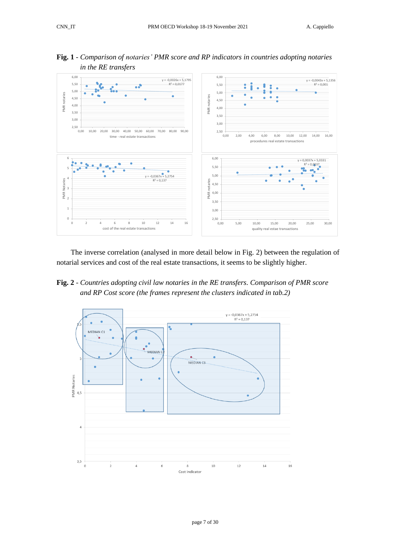

**Fig. 1** *- Comparison of notaries' PMR score and RP indicators in countries adopting notaries in the RE transfers*

The inverse correlation (analysed in more detail below in Fig. 2) between the regulation of notarial services and cost of the real estate transactions, it seems to be slightly higher.

**Fig. 2** - *Countries adopting civil law notaries in the RE transfers. Comparison of PMR score and RP Cost score (the frames represent the clusters indicated in tab.2)*

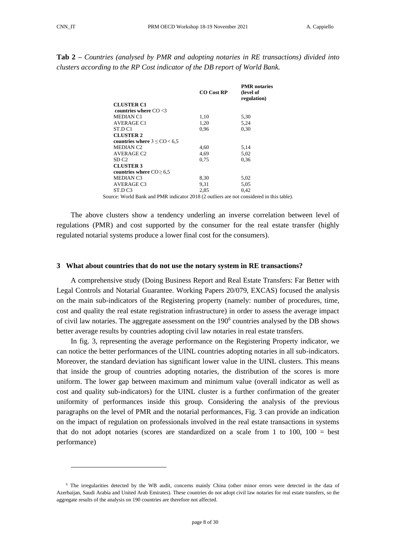**Tab 2 –** *Countries (analysed by PMR and adopting notaries in RE transactions) divided into clusters according to the RP Cost indicator of the DB report of World Bank.*

|                                      | <b>CO</b> Cost RP | <b>PMR</b> notaries<br>(level of<br>regulation) |
|--------------------------------------|-------------------|-------------------------------------------------|
| <b>CLUSTER C1</b>                    |                   |                                                 |
| countries where $CO < 3$             |                   |                                                 |
| <b>MEDIAN C1</b>                     | 1,10              | 5,30                                            |
| AVERAGE C1                           | 1,20              | 5,24                                            |
| ST.D C1                              | 0.96              | 0.30                                            |
| <b>CLUSTER 2</b>                     |                   |                                                 |
| countries where $3 \leq CO \leq 6.5$ |                   |                                                 |
| <b>MEDIAN C2</b>                     | 4,60              | 5,14                                            |
| AVERAGE C <sub>2</sub>               | 4,69              | 5.02                                            |
| SD C <sub>2</sub>                    | 0.75              | 0.36                                            |
| <b>CLUSTER 3</b>                     |                   |                                                 |
| countries where $CO \ge 6.5$         |                   |                                                 |
| MEDIAN C3                            | 8,30              | 5,02                                            |
| AVERAGE C3                           | 9,31              | 5.05                                            |
| ST.D C3                              | 2.85              | 0.42                                            |

Source: World Bank and PMR indicator 2018 (2 outliers are not considered in this table).

The above clusters show a tendency underling an inverse correlation between level of regulations (PMR) and cost supported by the consumer for the real estate transfer (highly regulated notarial systems produce a lower final cost for the consumers).

#### <span id="page-7-0"></span>**3 What about countries that do not use the notary system in RE transactions?**

A comprehensive study (Doing Business Report and Real Estate Transfers: Far Better with Legal Controls and Notarial Guarantee. [Working Papers](https://ideas.repec.org/s/exs/wpaper.html) 20/079, EXCAS) focused the analysis on the main sub-indicators of the Registering property (namely: number of procedures, time, cost and quality the real estate registration infrastructure) in order to assess the average impact of civil law notaries. The aggregate assessment on the  $190<sup>6</sup>$  countries analysed by the DB shows better average results by countries adopting civil law notaries in real estate transfers.

In fig. 3, representing the average performance on the Registering Property indicator, we can notice the better performances of the UINL countries adopting notaries in all sub-indicators. Moreover, the standard deviation has significant lower value in the UINL clusters. This means that inside the group of countries adopting notaries, the distribution of the scores is more uniform. The lower gap between maximum and minimum value (overall indicator as well as cost and quality sub-indicators) for the UINL cluster is a further confirmation of the greater uniformity of performances inside this group. Considering the analysis of the previous paragraphs on the level of PMR and the notarial performances, Fig. 3 can provide an indication on the impact of regulation on professionals involved in the real estate transactions in systems that do not adopt notaries (scores are standardized on a scale from 1 to 100,  $100 = \text{best}$ performance)

<sup>&</sup>lt;sup>6</sup> The irregularities detected by the WB audit, concerns mainly China (other minor errors were detected in the data of Azerbaijan, Saudi Arabia and United Arab Emirates). These countries do not adopt civil law notaries for real estate transfers, so the aggregate results of the analysis on 190 countries are therefore not affected.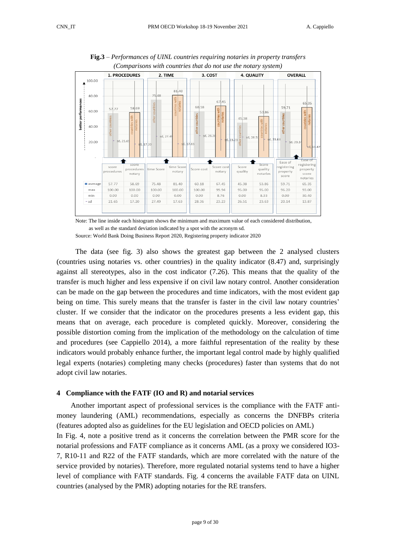

**Fig.3** *– Performances of UINL countries requiring notaries in property transfers (Comparisons with countries that do not use the notary system)*

Note: The line inside each histogram shows the minimum and maximum value of each considered distribution, as well as the standard deviation indicated by a spot with the acronym sd.

Source: World Bank Doing Business Report 2020, Registering property indicator 2020

The data (see fig. 3) also shows the greatest gap between the 2 analysed clusters (countries using notaries vs. other countries) in the quality indicator (8.47) and, surprisingly against all stereotypes, also in the cost indicator (7.26). This means that the quality of the transfer is much higher and less expensive if on civil law notary control. Another consideration can be made on the gap between the procedures and time indicators, with the most evident gap being on time. This surely means that the transfer is faster in the civil law notary countries' cluster. If we consider that the indicator on the procedures presents a less evident gap, this means that on average, each procedure is completed quickly. Moreover, considering the possible distortion coming from the implication of the methodology on the calculation of time and procedures (see Cappiello 2014), a more faithful representation of the reality by these indicators would probably enhance further, the important legal control made by highly qualified legal experts (notaries) completing many checks (procedures) faster than systems that do not adopt civil law notaries.

#### <span id="page-8-0"></span>**4 Compliance with the FATF (IO and R) and notarial services**

Another important aspect of professional services is the compliance with the FATF antimoney laundering (AML) recommendations, especially as concerns the DNFBPs criteria (features adopted also as guidelines for the EU legislation and OECD policies on AML) In Fig. 4, note a positive trend as it concerns the correlation between the PMR score for the notarial professions and FATF compliance as it concerns AML (as a proxy we considered IO3- 7, R10-11 and R22 of the FATF standards, which are more correlated with the nature of the service provided by notaries). Therefore, more regulated notarial systems tend to have a higher level of compliance with FATF standards. Fig. 4 concerns the available FATF data on UINL countries (analysed by the PMR) adopting notaries for the RE transfers.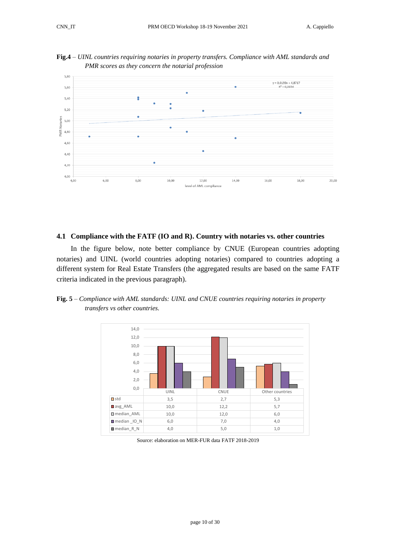

**Fig.4** *– UINL countries requiring notaries in property transfers. Compliance with AML standards and PMR scores as they concern the notarial profession*

# <span id="page-9-0"></span>**4.1 Compliance with the FATF (IO and R). Country with notaries vs. other countries**

In the figure below, note better compliance by CNUE (European countries adopting notaries) and UINL (world countries adopting notaries) compared to countries adopting a different system for Real Estate Transfers (the aggregated results are based on the same FATF criteria indicated in the previous paragraph).

**Fig. 5** *– Compliance with AML standards: UINL and CNUE countries requiring notaries in property transfers vs other countries.* 



Source: elaboration on MER-FUR data FATF 2018-2019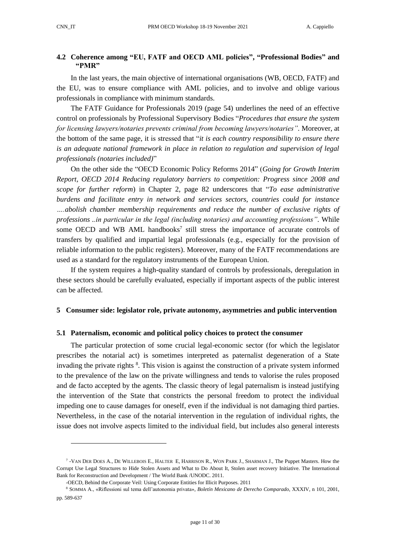# <span id="page-10-0"></span>**4.2 Coherence among "EU, FATF and OECD AML policies", "Professional Bodies" and "PMR"**

In the last years, the main objective of international organisations (WB, OECD, FATF) and the EU, was to ensure compliance with AML policies, and to involve and oblige various professionals in compliance with minimum standards.

The FATF Guidance for Professionals 2019 (page 54) underlines the need of an effective control on professionals by Professional Supervisory Bodies "*Procedures that ensure the system for licensing lawyers/notaries prevents criminal from becoming lawyers/notaries".* Moreover, at the bottom of the same page, it is stressed that "*it is each country responsibility to ensure there is an adequate national framework in place in relation to regulation and supervision of legal professionals (notaries included)*"

On the other side the "OECD Economic Policy Reforms 2014" (*Going for Growth Interim Report, OECD 2014 Reducing regulatory barriers to competition: Progress since 2008 and scope for further reform*) in Chapter 2, page 82 underscores that "*To ease administrative burdens and facilitate entry in network and services sectors, countries could for instance ….abolish chamber membership requirements and reduce the number of exclusive rights of professions ..in particular in the legal (including notaries) and accounting professions".* While some OECD and WB AML handbooks<sup>7</sup> still stress the importance of accurate controls of transfers by qualified and impartial legal professionals (e.g., especially for the provision of reliable information to the public registers). Moreover, many of the FATF recommendations are used as a standard for the regulatory instruments of the European Union.

If the system requires a high-quality standard of controls by professionals, deregulation in these sectors should be carefully evaluated, especially if important aspects of the public interest can be affected.

#### <span id="page-10-1"></span>**5 Consumer side: legislator role, private autonomy, asymmetries and public intervention**

#### <span id="page-10-2"></span>**5.1 Paternalism, economic and political policy choices to protect the consumer**

The particular protection of some crucial legal-economic sector (for which the legislator prescribes the notarial act) is sometimes interpreted as paternalist degeneration of a State invading the private rights <sup>8</sup>. This vision is against the construction of a private system informed to the prevalence of the law on the private willingness and tends to valorise the rules proposed and de facto accepted by the agents. The classic theory of legal paternalism is instead justifying the intervention of the State that constricts the personal freedom to protect the individual impeding one to cause damages for oneself, even if the individual is not damaging third parties. Nevertheless, in the case of the notarial intervention in the regulation of individual rights, the issue does not involve aspects limited to the individual field, but includes also general interests

<sup>7</sup> -VAN DER DOES A., DE WILLEBOIS E., HALTER E, HARRISON R., WON PARK J., SHARMAN J., The Puppet Masters. How the Corrupt Use Legal Structures to Hide Stolen Assets and What to Do About It, Stolen asset recovery Initiative. The International Bank for Reconstruction and Development / The World Bank /UNODC. 2011.

<sup>-</sup>OECD*,* Behind the Corporate Veil: Using Corporate Entities for Illicit Purposes. 2011

<sup>8</sup> SOMMA A., «Riflessioni sul tema dell'autonomia privata», *Boletín Mexicano de Derecho Comparado*, XXXIV, n 101, 2001, pp. 589-637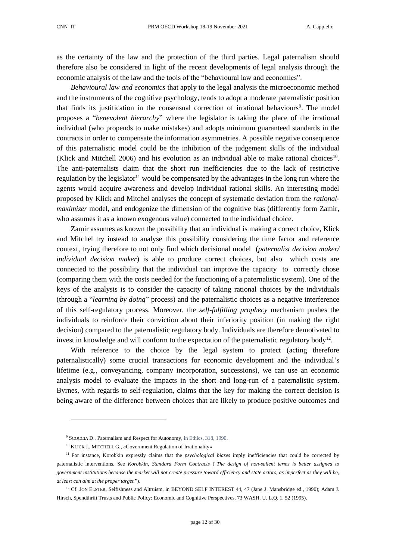as the certainty of the law and the protection of the third parties. Legal paternalism should therefore also be considered in light of the recent developments of legal analysis through the economic analysis of the law and the tools of the "behavioural law and economics".

*Behavioural law and economics* that apply to the legal analysis the microeconomic method and the instruments of the cognitive psychology, tends to adopt a moderate paternalistic position that finds its justification in the consensual correction of irrational behaviours<sup>9</sup>. The model proposes a "*benevolent hierarchy*" where the legislator is taking the place of the irrational individual (who propends to make mistakes) and adopts minimum guaranteed standards in the contracts in order to compensate the information asymmetries. A possible negative consequence of this paternalistic model could be the inhibition of the judgement skills of the individual (Klick and Mitchell 2006) and his evolution as an individual able to make rational choices<sup>10</sup>. The anti-paternalists claim that the short run inefficiencies due to the lack of restrictive regulation by the legislator<sup>11</sup> would be compensated by the advantages in the long run where the agents would acquire awareness and develop individual rational skills. An interesting model proposed by Klick and Mitchel analyses the concept of systematic deviation from the *rationalmaximizer* model, and endogenize the dimension of the cognitive bias (differently form Zamir, who assumes it as a known exogenous value) connected to the individual choice.

Zamir assumes as known the possibility that an individual is making a correct choice, Klick and Mitchel try instead to analyse this possibility considering the time factor and reference context, trying therefore to not only find which decisional model (*paternalist decision maker/ individual decision maker*) is able to produce correct choices, but also which costs are connected to the possibility that the individual can improve the capacity to correctly chose (comparing them with the costs needed for the functioning of a paternalistic system). One of the keys of the analysis is to consider the capacity of taking rational choices by the individuals (through a "*learning by doing*" process) and the paternalistic choices as a negative interference of this self-regulatory process. Moreover, the *self-fulfilling prophecy* mechanism pushes the individuals to reinforce their conviction about their inferiority position (in making the right decision) compared to the paternalistic regulatory body. Individuals are therefore demotivated to invest in knowledge and will conform to the expectation of the paternalistic regulatory body<sup>12</sup>.

With reference to the choice by the legal system to protect (acting therefore paternalistically) some crucial transactions for economic development and the individual's lifetime (e.g., conveyancing, company incorporation, successions), we can use an economic analysis model to evaluate the impacts in the short and long-run of a paternalistic system. Byrnes, with regards to self-regulation, claims that the key for making the correct decision is being aware of the difference between choices that are likely to produce positive outcomes and

<sup>9</sup> SCOCCIA D., Paternalism and Respect for Autonomy, in Ethics, 318, 1990.

<sup>&</sup>lt;sup>10</sup> KLICK J., MITCHELL G., «Government Regulation of Irrationality»

<sup>&</sup>lt;sup>11</sup> For instance, Korobkin expressly claims that the *psychological biases* imply inefficiencies that could be corrected by paternalistic interventions. See *Korobkin, Standard Form Contracts* ("*The design of non-salient terms is better assigned to government institutions because the market will not create pressure toward efficiency and state actors, as imperfect as they will be, at least can aim at the proper target.*").

 $12$  Cf. JON ELSTER, Selfishness and Altruism, in BEYOND SELF INTEREST 44, 47 (Jane J. Mansbridge ed., 1990); Adam J. Hirsch, Spendthrift Trusts and Public Policy: Economic and Cognitive Perspectives, 73 WASH. U. L.Q. 1, 52 (1995).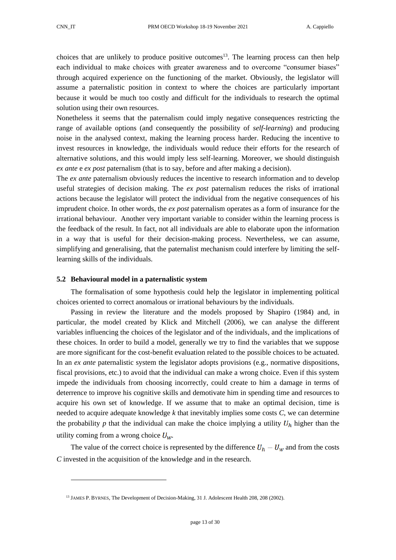choices that are unlikely to produce positive outcomes<sup>13</sup>. The learning process can then help each individual to make choices with greater awareness and to overcome "consumer biases" through acquired experience on the functioning of the market. Obviously, the legislator will assume a paternalistic position in context to where the choices are particularly important because it would be much too costly and difficult for the individuals to research the optimal solution using their own resources.

Nonetheless it seems that the paternalism could imply negative consequences restricting the range of available options (and consequently the possibility of *self-learning*) and producing noise in the analysed context, making the learning process harder. Reducing the incentive to invest resources in knowledge, the individuals would reduce their efforts for the research of alternative solutions, and this would imply less self-learning. Moreover, we should distinguish *ex ante* e *ex post* paternalism (that is to say, before and after making a decision).

The *ex ante* paternalism obviously reduces the incentive to research information and to develop useful strategies of decision making. The *ex post* paternalism reduces the risks of irrational actions because the legislator will protect the individual from the negative consequences of his imprudent choice. In other words, the *ex post* paternalism operates as a form of insurance for the irrational behaviour. Another very important variable to consider within the learning process is the feedback of the result. In fact, not all individuals are able to elaborate upon the information in a way that is useful for their decision-making process. Nevertheless, we can assume, simplifying and generalising, that the paternalist mechanism could interfere by limiting the selflearning skills of the individuals.

#### <span id="page-12-0"></span>**5.2 Behavioural model in a paternalistic system**

The formalisation of some hypothesis could help the legislator in implementing political choices oriented to correct anomalous or irrational behaviours by the individuals.

Passing in review the literature and the models proposed by Shapiro (1984) and, in particular, the model created by Klick and Mitchell (2006), we can analyse the different variables influencing the choices of the legislator and of the individuals, and the implications of these choices. In order to build a model, generally we try to find the variables that we suppose are more significant for the cost-benefit evaluation related to the possible choices to be actuated. In an *ex ante* paternalistic system the legislator adopts provisions (e.g., normative dispositions, fiscal provisions, etc.) to avoid that the individual can make a wrong choice. Even if this system impede the individuals from choosing incorrectly, could create to him a damage in terms of deterrence to improve his cognitive skills and demotivate him in spending time and resources to acquire his own set of knowledge. If we assume that to make an optimal decision, time is needed to acquire adequate knowledge *k* that inevitably implies some costs *C*, we can determine the probability  $p$  that the individual can make the choice implying a utility  $U_h$  higher than the utility coming from a wrong choice  $U_w$ .

The value of the correct choice is represented by the difference  $U_h - U_w$  and from the costs *C* invested in the acquisition of the knowledge and in the research.

<sup>&</sup>lt;sup>13</sup> JAMES P. BYRNES, The Development of Decision-Making, 31 J. Adolescent Health 208, 208 (2002).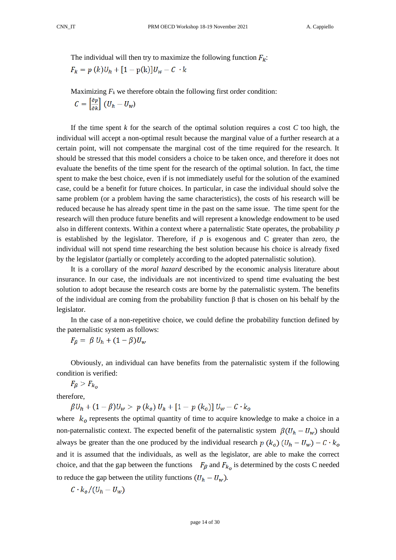The individual will then try to maximize the following function  $F_k$ :

$$
F_k = p(k)U_h + [1 - p(k)]U_w - C \cdot k
$$

Maximizing  $F_k$  we therefore obtain the following first order condition:

 $C=\begin{bmatrix}\frac{\partial p}{\partial u}\end{bmatrix}\left(U_h-U_w\right)$ 

If the time spent  $k$  for the search of the optimal solution requires a cost  $C$  too high, the individual will accept a non-optimal result because the marginal value of a further research at a certain point, will not compensate the marginal cost of the time required for the research. It should be stressed that this model considers a choice to be taken once, and therefore it does not evaluate the benefits of the time spent for the research of the optimal solution. In fact, the time spent to make the best choice, even if is not immediately useful for the solution of the examined case, could be a benefit for future choices. In particular, in case the individual should solve the same problem (or a problem having the same characteristics), the costs of his research will be reduced because he has already spent time in the past on the same issue. The time spent for the research will then produce future benefits and will represent a knowledge endowment to be used also in different contexts. Within a context where a paternalistic State operates, the probability *p* is established by the legislator. Therefore, if  $p$  is exogenous and  $C$  greater than zero, the individual will not spend time researching the best solution because his choice is already fixed by the legislator (partially or completely according to the adopted paternalistic solution).

It is a corollary of the *moral hazard* described by the economic analysis literature about insurance. In our case, the individuals are not incentivized to spend time evaluating the best solution to adopt because the research costs are borne by the paternalistic system. The benefits of the individual are coming from the probability function β that is chosen on his behalf by the legislator.

In the case of a non-repetitive choice, we could define the probability function defined by the paternalistic system as follows:

 $F_{\beta} = \beta U_h + (1 - \beta)U_w$ 

Obviously, an individual can have benefits from the paternalistic system if the following condition is verified:

 $F_{\beta} > F_{k_{\alpha}}$ 

therefore,

 $\beta U_h + (1 - \beta) U_w > p (k_o) U_h + [1 - p (k_o)] U_w - C \cdot k_o$ 

where  $k_0$  represents the optimal quantity of time to acquire knowledge to make a choice in a non-paternalistic context. The expected benefit of the paternalistic system  $\beta(U_h - U_w)$  should always be greater than the one produced by the individual research  $p(k_0)(U_h - U_w) - C \cdot k_0$ and it is assumed that the individuals, as well as the legislator, are able to make the correct choice, and that the gap between the functions  $F_{\beta}$  and  $F_{k_0}$  is determined by the costs C needed to reduce the gap between the utility functions  $(U_h - U_w)$ .

$$
C \cdot k_o / (U_h - U_w)
$$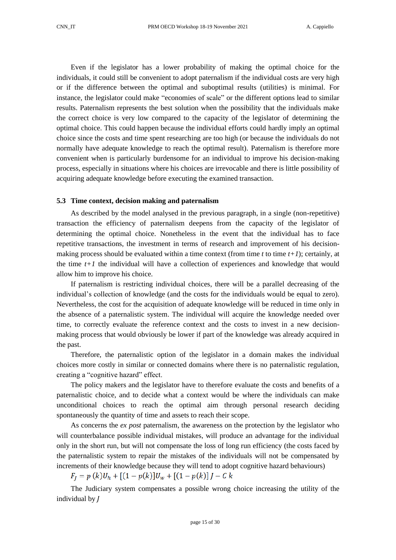Even if the legislator has a lower probability of making the optimal choice for the individuals, it could still be convenient to adopt paternalism if the individual costs are very high or if the difference between the optimal and suboptimal results (utilities) is minimal. For instance, the legislator could make "economies of scale" or the different options lead to similar results. Paternalism represents the best solution when the possibility that the individuals make the correct choice is very low compared to the capacity of the legislator of determining the optimal choice. This could happen because the individual efforts could hardly imply an optimal choice since the costs and time spent researching are too high (or because the individuals do not normally have adequate knowledge to reach the optimal result). Paternalism is therefore more convenient when is particularly burdensome for an individual to improve his decision-making process, especially in situations where his choices are irrevocable and there is little possibility of acquiring adequate knowledge before executing the examined transaction.

#### <span id="page-14-0"></span>**5.3 Time context, decision making and paternalism**

As described by the model analysed in the previous paragraph, in a single (non-repetitive) transaction the efficiency of paternalism deepens from the capacity of the legislator of determining the optimal choice. Nonetheless in the event that the individual has to face repetitive transactions, the investment in terms of research and improvement of his decisionmaking process should be evaluated within a time context (from time  $t$  to time  $t+1$ ); certainly, at the time *t+1* the individual will have a collection of experiences and knowledge that would allow him to improve his choice.

If paternalism is restricting individual choices, there will be a parallel decreasing of the individual's collection of knowledge (and the costs for the individuals would be equal to zero). Nevertheless, the cost for the acquisition of adequate knowledge will be reduced in time only in the absence of a paternalistic system. The individual will acquire the knowledge needed over time, to correctly evaluate the reference context and the costs to invest in a new decisionmaking process that would obviously be lower if part of the knowledge was already acquired in the past.

Therefore, the paternalistic option of the legislator in a domain makes the individual choices more costly in similar or connected domains where there is no paternalistic regulation, creating a "cognitive hazard" effect.

The policy makers and the legislator have to therefore evaluate the costs and benefits of a paternalistic choice, and to decide what a context would be where the individuals can make unconditional choices to reach the optimal aim through personal research deciding spontaneously the quantity of time and assets to reach their scope.

As concerns the *ex post* paternalism, the awareness on the protection by the legislator who will counterbalance possible individual mistakes, will produce an advantage for the individual only in the short run, but will not compensate the loss of long run efficiency (the costs faced by the paternalistic system to repair the mistakes of the individuals will not be compensated by increments of their knowledge because they will tend to adopt cognitive hazard behaviours)

 $F_I = p(k)U_h + [(1-p(k)]U_w + [(1-p(k)]J - Ck)]$ 

The Judiciary system compensates a possible wrong choice increasing the utility of the individual by *J*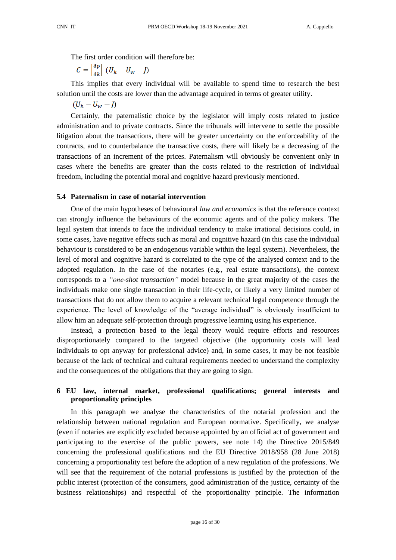The first order condition will therefore be:

$$
C = \begin{bmatrix} \frac{\partial p}{\partial k} \end{bmatrix} (U_h - U_w - J)
$$

This implies that every individual will be available to spend time to research the best solution until the costs are lower than the advantage acquired in terms of greater utility.

 $(U_h - U_w - I)$ 

Certainly, the paternalistic choice by the legislator will imply costs related to justice administration and to private contracts. Since the tribunals will intervene to settle the possible litigation about the transactions, there will be greater uncertainty on the enforceability of the contracts, and to counterbalance the transactive costs, there will likely be a decreasing of the transactions of an increment of the prices. Paternalism will obviously be convenient only in cases where the benefits are greater than the costs related to the restriction of individual freedom, including the potential moral and cognitive hazard previously mentioned.

# <span id="page-15-0"></span>**5.4 Paternalism in case of notarial intervention**

One of the main hypotheses of behavioural *law and economics* is that the reference context can strongly influence the behaviours of the economic agents and of the policy makers. The legal system that intends to face the individual tendency to make irrational decisions could, in some cases, have negative effects such as moral and cognitive hazard (in this case the individual behaviour is considered to be an endogenous variable within the legal system). Nevertheless, the level of moral and cognitive hazard is correlated to the type of the analysed context and to the adopted regulation. In the case of the notaries (e.g., real estate transactions), the context corresponds to a *"one-shot transaction"* model because in the great majority of the cases the individuals make one single transaction in their life-cycle, or likely a very limited number of transactions that do not allow them to acquire a relevant technical legal competence through the experience. The level of knowledge of the "average individual" is obviously insufficient to allow him an adequate self-protection through progressive learning using his experience.

Instead, a protection based to the legal theory would require efforts and resources disproportionately compared to the targeted objective (the opportunity costs will lead individuals to opt anyway for professional advice) and, in some cases, it may be not feasible because of the lack of technical and cultural requirements needed to understand the complexity and the consequences of the obligations that they are going to sign.

# <span id="page-15-1"></span>**6 EU law, internal market, professional qualifications; general interests and proportionality principles**

In this paragraph we analyse the characteristics of the notarial profession and the relationship between national regulation and European normative. Specifically, we analyse (even if notaries are explicitly excluded because appointed by an official act of government and participating to the exercise of the public powers, see note 14) the Directive 2015/849 concerning the professional qualifications and the EU Directive 2018/958 (28 June 2018) concerning a proportionality test before the adoption of a new regulation of the professions. We will see that the requirement of the notarial professions is justified by the protection of the public interest (protection of the consumers, good administration of the justice, certainty of the business relationships) and respectful of the proportionality principle. The information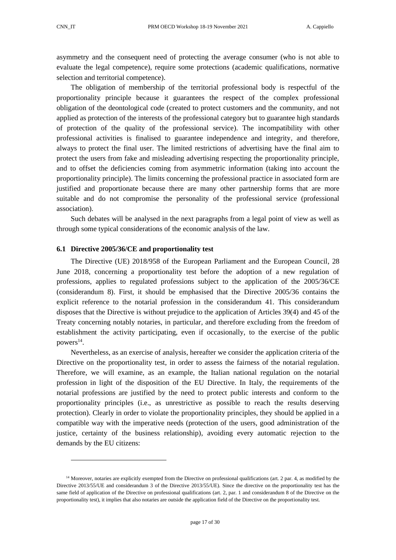asymmetry and the consequent need of protecting the average consumer (who is not able to evaluate the legal competence), require some protections (academic qualifications, normative selection and territorial competence).

The obligation of membership of the territorial professional body is respectful of the proportionality principle because it guarantees the respect of the complex professional obligation of the deontological code (created to protect customers and the community, and not applied as protection of the interests of the professional category but to guarantee high standards of protection of the quality of the professional service). The incompatibility with other professional activities is finalised to guarantee independence and integrity, and therefore, always to protect the final user. The limited restrictions of advertising have the final aim to protect the users from fake and misleading advertising respecting the proportionality principle, and to offset the deficiencies coming from asymmetric information (taking into account the proportionality principle). The limits concerning the professional practice in associated form are justified and proportionate because there are many other partnership forms that are more suitable and do not compromise the personality of the professional service (professional association).

Such debates will be analysed in the next paragraphs from a legal point of view as well as through some typical considerations of the economic analysis of the law.

#### <span id="page-16-0"></span>**6.1 Directive 2005/36/CE and proportionality test**

The Directive (UE) 2018/958 of the European Parliament and the European Council, 28 June 2018, concerning a proportionality test before the adoption of a new regulation of professions, applies to regulated professions subject to the application of the 2005/36/CE (considerandum 8). First, it should be emphasised that the Directive 2005/36 contains the explicit reference to the notarial profession in the considerandum 41. This considerandum disposes that the Directive is without prejudice to the application of Articles 39(4) and 45 of the Treaty concerning notably notaries, in particular, and therefore excluding from the freedom of establishment the activity participating, even if occasionally, to the exercise of the public powers<sup>14</sup>.

Nevertheless, as an exercise of analysis, hereafter we consider the application criteria of the Directive on the proportionality test, in order to assess the fairness of the notarial regulation. Therefore, we will examine, as an example, the Italian national regulation on the notarial profession in light of the disposition of the EU Directive. In Italy, the requirements of the notarial professions are justified by the need to protect public interests and conform to the proportionality principles (i.e., as unrestrictive as possible to reach the results deserving protection). Clearly in order to violate the proportionality principles, they should be applied in a compatible way with the imperative needs (protection of the users, good administration of the justice, certainty of the business relationship), avoiding every automatic rejection to the demands by the EU citizens:

<sup>&</sup>lt;sup>14</sup> Moreover, notaries are explicitly exempted from the Directive on professional qualifications (art. 2 par. 4, as modified by the Directive 2013/55/UE and considerandum 3 of the Directive 2013/55/UE). Since the directive on the proportionality test has the same field of application of the Directive on professional qualifications (art. 2, par. 1 and considerandum 8 of the Directive on the proportionality test), it implies that also notaries are outside the application field of the Directive on the proportionality test.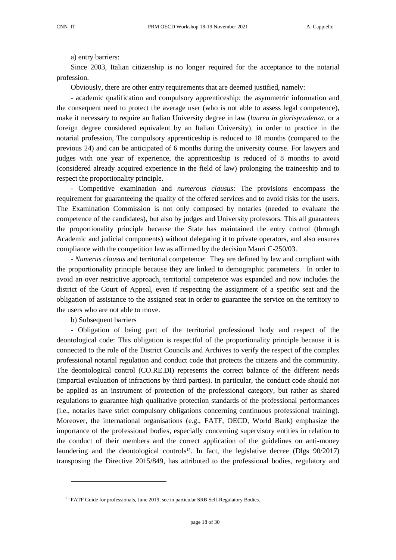a) entry barriers:

Since 2003, Italian citizenship is no longer required for the acceptance to the notarial profession.

Obviously, there are other entry requirements that are deemed justified, namely:

- academic qualification and compulsory apprenticeship: the asymmetric information and the consequent need to protect the average user (who is not able to assess legal competence), make it necessary to require an Italian University degree in law (*laurea in giurisprudenza*, or a foreign degree considered equivalent by an Italian University), in order to practice in the notarial profession, The compulsory apprenticeship is reduced to 18 months (compared to the previous 24) and can be anticipated of 6 months during the university course. For lawyers and judges with one year of experience, the apprenticeship is reduced of 8 months to avoid (considered already acquired experience in the field of law) prolonging the traineeship and to respect the proportionality principle.

- Competitive examination and *numerous clausus*: The provisions encompass the requirement for guaranteeing the quality of the offered services and to avoid risks for the users. The Examination Commission is not only composed by notaries (needed to evaluate the competence of the candidates), but also by judges and University professors. This all guarantees the proportionality principle because the State has maintained the entry control (through Academic and judicial components) without delegating it to private operators, and also ensures compliance with the competition law as affirmed by the decision Mauri C-250/03.

- *Numerus clausus* and territorial competence: They are defined by law and compliant with the proportionality principle because they are linked to demographic parameters. In order to avoid an over restrictive approach, territorial competence was expanded and now includes the district of the Court of Appeal, even if respecting the assignment of a specific seat and the obligation of assistance to the assigned seat in order to guarantee the service on the territory to the users who are not able to move.

b) Subsequent barriers

- Obligation of being part of the territorial professional body and respect of the deontological code: This obligation is respectful of the proportionality principle because it is connected to the role of the District Councils and Archives to verify the respect of the complex professional notarial regulation and conduct code that protects the citizens and the community. The deontological control (CO.RE.DI) represents the correct balance of the different needs (impartial evaluation of infractions by third parties). In particular, the conduct code should not be applied as an instrument of protection of the professional category, but rather as shared regulations to guarantee high qualitative protection standards of the professional performances (i.e., notaries have strict compulsory obligations concerning continuous professional training). Moreover, the international organisations (e.g., FATF, OECD, World Bank) emphasize the importance of the professional bodies, especially concerning supervisory entities in relation to the conduct of their members and the correct application of the guidelines on anti-money laundering and the deontological controls<sup>15</sup>. In fact, the legislative decree (Dlgs 90/2017) transposing the Directive 2015/849, has attributed to the professional bodies, regulatory and

<sup>&</sup>lt;sup>15</sup> FATF Guide for professionals, June 2019, see in particular SRB Self-Regulatory Bodies.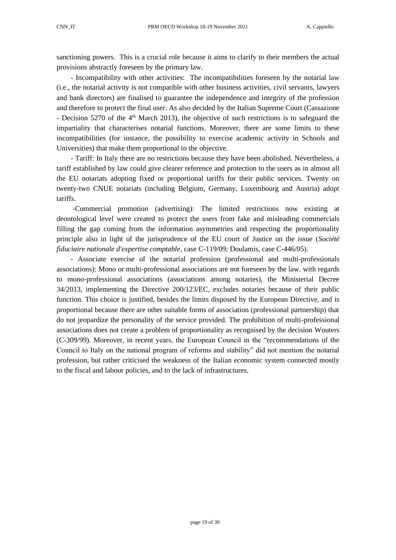sanctioning powers. This is a crucial role because it aims to clarify to their members the actual provisions abstractly foreseen by the primary law.

- Incompatibility with other activities: The incompatibilities foreseen by the notarial law (i.e., the notarial activity is not compatible with other business activities, civil servants, lawyers and bank directors) are finalised to guarantee the independence and integrity of the profession and therefore to protect the final user. As also decided by the Italian Supreme Court (Cassazione - Decision 5270 of the 4<sup>th</sup> March 2013), the objective of such restrictions is to safeguard the impartiality that characterises notarial functions. Moreover, there are some limits to these incompatibilities (for instance, the possibility to exercise academic activity in Schools and Universities) that make them proportional to the objective.

- Tariff: In Italy there are no restrictions because they have been abolished. Nevertheless, a tariff established by law could give clearer reference and protection to the users as in almost all the EU notariats adopting fixed or proportional tariffs for their public services. Twenty on twenty-two CNUE notariats (including Belgium, Germany, Luxembourg and Austria) adopt tariffs.

-Commercial promotion (advertising): The limited restrictions now existing at deontological level were created to protect the users from fake and misleading commercials filling the gap coming from the information asymmetries and respecting the proportionality principle also in light of the jurisprudence of the EU court of Justice on the issue (*Société fiduciaire nationale d'expertise comptable*, case C-119/09; Doulamis, case C-446/05).

- Associate exercise of the notarial profession (professional and multi-professionals associations): Mono or multi-professional associations are not foreseen by the law. with regards to mono-professional associations (associations among notaries), the Ministerial Decree 34/2013, implementing the Directive 200/123/EC, excludes notaries because of their public function. This choice is justified, besides the limits disposed by the European Directive, and is proportional because there are other suitable forms of association (professional partnership) that do not jeopardize the personality of the service provided. The prohibition of multi-professional associations does not create a problem of proportionality as recognised by the decision Wouters (C-309/99). Moreover, in recent years, the European Council in the "recommendations of the Council to Italy on the national program of reforms and stability" did not mention the notarial profession, but rather criticised the weakness of the Italian economic system connected mostly to the fiscal and labour policies, and to the lack of infrastructures.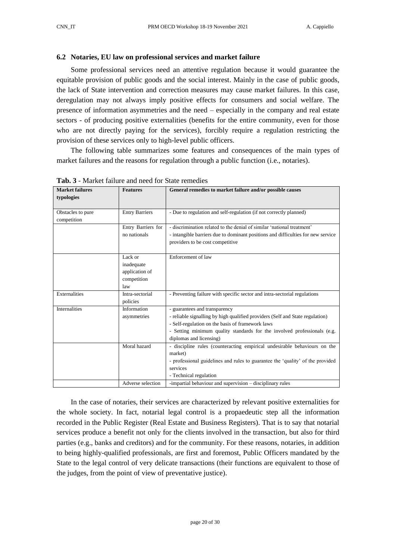# <span id="page-19-0"></span>**6.2 Notaries, EU law on professional services and market failure**

Some professional services need an attentive regulation because it would guarantee the equitable provision of public goods and the social interest. Mainly in the case of public goods, the lack of State intervention and correction measures may cause market failures. In this case, deregulation may not always imply positive effects for consumers and social welfare. The presence of information asymmetries and the need – especially in the company and real estate sectors - of producing positive externalities (benefits for the entire community, even for those who are not directly paying for the services), forcibly require a regulation restricting the provision of these services only to high-level public officers.

The following table summarizes some features and consequences of the main types of market failures and the reasons for regulation through a public function (i.e., notaries).

| <b>Market failures</b><br><b>Features</b> |                       | General remedies to market failure and/or possible causes                        |  |  |
|-------------------------------------------|-----------------------|----------------------------------------------------------------------------------|--|--|
| typologies                                |                       |                                                                                  |  |  |
|                                           |                       |                                                                                  |  |  |
| Obstacles to pure                         | <b>Entry Barriers</b> | - Due to regulation and self-regulation (if not correctly planned)               |  |  |
| competition                               |                       |                                                                                  |  |  |
|                                           | Entry Barriers for    | - discrimination related to the denial of similar 'national treatment'           |  |  |
|                                           | no nationals          | - intangible barriers due to dominant positions and difficulties for new service |  |  |
|                                           |                       | providers to be cost competitive                                                 |  |  |
|                                           |                       |                                                                                  |  |  |
|                                           | Lack or               | Enforcement of law                                                               |  |  |
|                                           | inadequate            |                                                                                  |  |  |
|                                           | application of        |                                                                                  |  |  |
|                                           | competition           |                                                                                  |  |  |
|                                           | law                   |                                                                                  |  |  |
| Externalities                             | Intra-sectorial       | - Preventing failure with specific sector and intra-sectorial regulations        |  |  |
|                                           | policies              |                                                                                  |  |  |
| <b>Internalities</b>                      | Information           | - guarantees and transparency                                                    |  |  |
|                                           | asymmetries           | - reliable signalling by high qualified providers (Self and State regulation)    |  |  |
|                                           |                       | - Self-regulation on the basis of framework laws                                 |  |  |
|                                           |                       | - Setting minimum quality standards for the involved professionals (e.g.         |  |  |
|                                           |                       | diplomas and licensing)                                                          |  |  |
|                                           | Moral hazard          | - discipline rules (counteracting empirical undesirable behaviours on the        |  |  |
|                                           |                       | market)                                                                          |  |  |
|                                           |                       | - professional guidelines and rules to guarantee the 'quality' of the provided   |  |  |
|                                           |                       | services                                                                         |  |  |
|                                           |                       | - Technical regulation                                                           |  |  |
|                                           | Adverse selection     | -impartial behaviour and supervision – disciplinary rules                        |  |  |

**Tab. 3** - Market failure and need for State remedies

In the case of notaries, their services are characterized by relevant positive externalities for the whole society. In fact, notarial legal control is a propaedeutic step all the information recorded in the Public Register (Real Estate and Business Registers). That is to say that notarial services produce a benefit not only for the clients involved in the transaction, but also for third parties (e.g., banks and creditors) and for the community. For these reasons, notaries, in addition to being highly-qualified professionals, are first and foremost, Public Officers mandated by the State to the legal control of very delicate transactions (their functions are equivalent to those of the judges, from the point of view of preventative justice).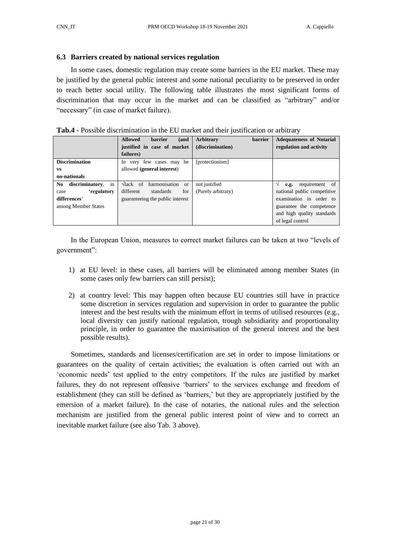#### <span id="page-20-0"></span>**6.3 Barriers created by national services regulation**

In some cases, domestic regulation may create some barriers in the EU market. These may be justified by the general public interest and some national peculiarity to be preserved in order to reach better social utility. The following table illustrates the most significant forms of discrimination that may occur in the market and can be classified as "arbitrary" and/or "necessary" (in case of market failure).

| Tab.4 - Possible discrimination in the EU market and their justification or arbitrary |  |  |  |
|---------------------------------------------------------------------------------------|--|--|--|
|---------------------------------------------------------------------------------------|--|--|--|

|                              | <b>Allowed</b><br>(and<br><b>barrier</b>                    | Arbitrary<br><b>barrier</b> | <b>Adequateness of Notarial</b> |
|------------------------------|-------------------------------------------------------------|-----------------------------|---------------------------------|
|                              | justified in case of market                                 | (discrimination)            | regulation and activity         |
|                              | failures)                                                   |                             |                                 |
| <b>Discrimination</b>        | very few cases may be<br>ln                                 | [protectionism]             |                                 |
| <b>VS</b>                    | allowed (general interest)                                  |                             |                                 |
| no-nationals                 |                                                             |                             |                                 |
| in<br>discriminatory,<br>No. | harmonisation<br>$\sqrt{a}$ and $\sqrt{b}$<br><sub>or</sub> | not justified               | e.g. requirement of             |
| 'regulatory<br>case          | different<br>standards<br>for                               | (Purely arbitrary)          | national public competitive     |
| differences'                 | guaranteeing the public interest                            |                             | examination in order to         |
| among Member States          |                                                             |                             | guarantee the competence        |
|                              |                                                             |                             | and high quality standards      |
|                              |                                                             |                             | of legal control                |

In the European Union, measures to correct market failures can be taken at two "levels of government":

- 1) at EU level: in these cases, all barriers will be eliminated among member States (in some cases only few barriers can still persist);
- 2) at country level: This may happen often because EU countries still have in practice some discretion in services regulation and supervision in order to guarantee the public interest and the best results with the minimum effort in terms of utilised resources (e.g., local diversity can justify national regulation, trough subsidiarity and proportionality principle, in order to guarantee the maximisation of the general interest and the best possible results).

Sometimes, standards and licenses/certification are set in order to impose limitations or guarantees on the quality of certain activities; the evaluation is often carried out with an 'economic needs' test applied to the entry competitors. If the rules are justified by market failures, they do not represent offensive 'barriers' to the services exchange and freedom of establishment (they can still be defined as 'barriers,' but they are appropriately justified by the emersion of a market failure). In the case of notaries, the national rules and the selection mechanism are justified from the general public interest point of view and to correct an inevitable market failure (see also Tab. 3 above).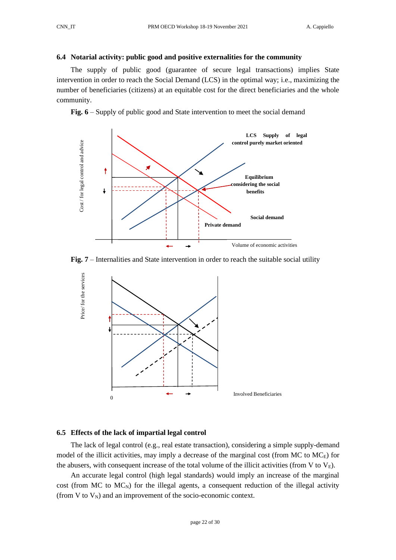# <span id="page-21-0"></span>**6.4 Notarial activity: public good and positive externalities for the community**

The supply of public good (guarantee of secure legal transactions) implies State intervention in order to reach the Social Demand (LCS) in the optimal way; i.e., maximizing the number of beneficiaries (citizens) at an equitable cost for the direct beneficiaries and the whole community.

**Fig. 6** – Supply of public good and State intervention to meet the social demand







# <span id="page-21-1"></span>**6.5 Effects of the lack of impartial legal control**

The lack of legal control (e.g., real estate transaction), considering a simple supply-demand model of the illicit activities, may imply a decrease of the marginal cost (from MC to MC<sub>E</sub>) for the abusers, with consequent increase of the total volume of the illicit activities (from V to  $V_E$ ).

An accurate legal control (high legal standards) would imply an increase of the marginal cost (from MC to  $MC<sub>N</sub>$ ) for the illegal agents, a consequent reduction of the illegal activity (from V to  $V_N$ ) and an improvement of the socio-economic context.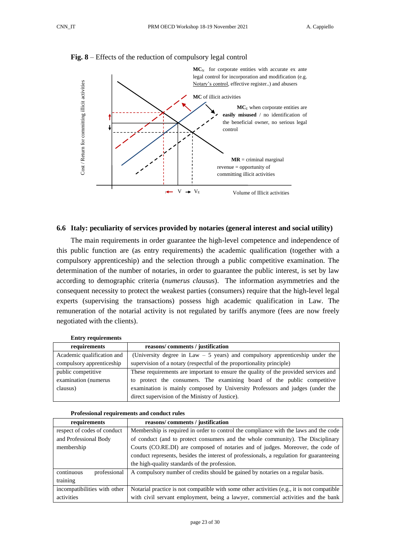

# **Fig. 8** – Effects of the reduction of compulsory legal control

# <span id="page-22-0"></span>**6.6 Italy: peculiarity of services provided by notaries (general interest and social utility)**

The main requirements in order guarantee the high-level competence and independence of this public function are (as entry requirements) the academic qualification (together with a compulsory apprenticeship) and the selection through a public competitive examination. The determination of the number of notaries, in order to guarantee the public interest, is set by law according to demographic criteria (*numerus clausus*). The information asymmetries and the consequent necessity to protect the weakest parties (consumers) require that the high-level legal experts (supervising the transactions) possess high academic qualification in Law. The remuneration of the notarial activity is not regulated by tariffs anymore (fees are now freely negotiated with the clients).

| Linu / Tequn chichto       |                                                                                     |
|----------------------------|-------------------------------------------------------------------------------------|
| requirements               | reasons/comments/justification                                                      |
| Academic qualification and | (University degree in Law $-5$ years) and compulsory apprenticeship under the       |
| compulsory apprenticeship  | supervision of a notary (respectful of the proportionality principle)               |
| public competitive         | These requirements are important to ensure the quality of the provided services and |
| examination (numerus       | to protect the consumers. The examining board of the public competitive             |
| clausus)                   | examination is mainly composed by University Professors and judges (under the       |
|                            | direct supervision of the Ministry of Justice).                                     |

|  | <b>Entry requirements</b> |  |
|--|---------------------------|--|
|--|---------------------------|--|

| requirements                 | reasons/comments/justification                                                             |  |  |
|------------------------------|--------------------------------------------------------------------------------------------|--|--|
| respect of codes of conduct  | Membership is required in order to control the compliance with the laws and the code       |  |  |
| and Professional Body        | of conduct (and to protect consumers and the whole community). The Disciplinary            |  |  |
| membership                   | Courts (CO.RE.DI) are composed of notaries and of judges. Moreover, the code of            |  |  |
|                              | conduct represents, besides the interest of professionals, a regulation for guaranteeing   |  |  |
|                              | the high-quality standards of the profession.                                              |  |  |
| continuous<br>professional   | A compulsory number of credits should be gained by notaries on a regular basis.            |  |  |
| training                     |                                                                                            |  |  |
| incompatibilities with other | Notarial practice is not compatible with some other activities (e.g., it is not compatible |  |  |
| activities                   | with civil servant employment, being a lawyer, commercial activities and the bank          |  |  |

**Professional requirements and conduct rules**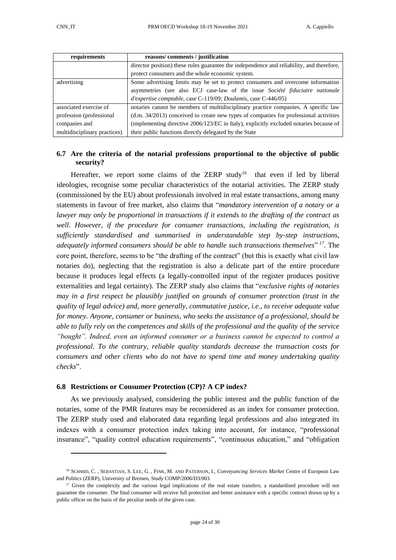| requirements                 | reasons/comments/justification                                                            |
|------------------------------|-------------------------------------------------------------------------------------------|
|                              | director position) these rules guarantee the independence and reliability, and therefore, |
|                              | protect consumers and the whole economic system.                                          |
| advertising                  | Some advertising limits may be set to protect consumers and overcome information          |
|                              | asymmetries (see also ECJ case-law of the issue Société fiduciaire nationale              |
|                              | $d'$ expertise comptable, case C-119/09; Doulamis, case C-446/05)                         |
| associated exercise of       | notaries cannot be members of multidisciplinary practice companies. A specific law        |
| profession (professional)    | $(d.m. 34/2013)$ conceived to create new types of companies for professional activities   |
| companies and                | (implementing directive 2006/123/EC in Italy), explicitly excluded notaries because of    |
| multidisciplinary practices) | their public functions directly delegated by the State                                    |

# <span id="page-23-0"></span>**6.7 Are the criteria of the notarial professions proportional to the objective of public security?**

Hereafter, we report some claims of the ZERP study<sup>16</sup> that even if led by liberal ideologies, recognise some peculiar characteristics of the notarial activities. The ZERP study (commissioned by the EU) about professionals involved in real estate transactions, among many statements in favour of free market, also claims that "*mandatory intervention of a notary or a lawyer may only be proportional in transactions if it extends to the drafting of the contract as well. However, if the procedure for consumer transactions, including the registration, is sufficiently standardised and summarised in understandable step by-step instructions, adequately informed consumers should be able to handle such transactions themselves*" *<sup>17</sup>*. The core point, therefore, seems to be "the drafting of the contract" (but this is exactly what civil law notaries do), neglecting that the registration is also a delicate part of the entire procedure because it produces legal effects (a legally-controlled input of the register produces positive externalities and legal certainty). The ZERP study also claims that "*exclusive rights of notaries may in a first respect be plausibly justified on grounds of consumer protection (trust in the quality of legal advice) and, more generally, commutative justice, i.e., to receive adequate value for money. Anyone, consumer or business, who seeks the assistance of a professional, should be able to fully rely on the competences and skills of the professional and the quality of the service "bought". Indeed, even an informed consumer or a business cannot be expected to control a professional. To the contrary, reliable quality standards decrease the transaction costs for consumers and other clients who do not have to spend time and money undertaking quality checks*".

#### <span id="page-23-1"></span>**6.8 Restrictions or Consumer Protection (CP)? A CP index?**

As we previously analysed, considering the public interest and the public function of the notaries, some of the PMR features may be reconsidered as an index for consumer protection. The ZERP study used and elaborated data regarding legal professions and also integrated its indexes with a consumer protection index taking into account, for instance, "professional insurance", "quality control education requirements", "continuous education," and "obligation

<sup>16</sup> SCHMID, C. , SEBASTIAN, S. LEE, G. , FINK, M. AND PATERSON, I., *Conveyancing Services Market* Centre of European Law and Politics (ZERP), University of Bremen, Study COMP/2006/D3/003.

<sup>&</sup>lt;sup>17</sup> Given the complexity and the various legal implications of the real estate transfers, a standardised procedure will not guarantee the consumer. The final consumer will receive full protection and better assistance with a specific contract drawn up by a public officer on the basis of the peculiar needs of the given case.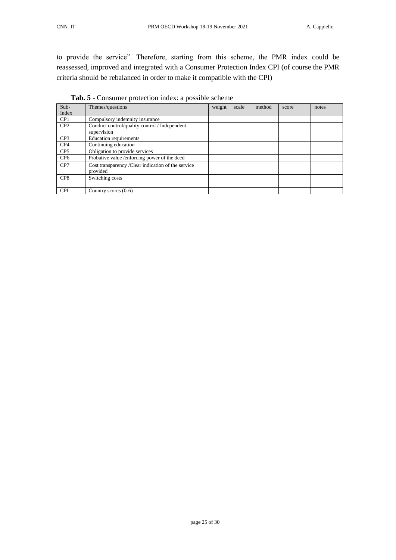to provide the service". Therefore, starting from this scheme, the PMR index could be reassessed, improved and integrated with a Consumer Protection Index CPI (of course the PMR criteria should be rebalanced in order to make it compatible with the CPI)

| $Sub-$          | Themes/questions                                   | weight | scale | method | score | notes |
|-----------------|----------------------------------------------------|--------|-------|--------|-------|-------|
| Index           |                                                    |        |       |        |       |       |
| CP <sub>1</sub> | Compulsory indemnity insurance                     |        |       |        |       |       |
| CP2             | Conduct control/quality control / Independent      |        |       |        |       |       |
|                 | supervision                                        |        |       |        |       |       |
| CP <sub>3</sub> | Education requirements                             |        |       |        |       |       |
| CP4             | Continuing education                               |        |       |        |       |       |
| CP <sub>5</sub> | Obligation to provide services                     |        |       |        |       |       |
| CP <sub>6</sub> | Probative value /enforcing power of the deed       |        |       |        |       |       |
| CP7             | Cost transparency /Clear indication of the service |        |       |        |       |       |
|                 | provided                                           |        |       |        |       |       |
| CP <sub>8</sub> | Switching costs                                    |        |       |        |       |       |
|                 |                                                    |        |       |        |       |       |
| <b>CPI</b>      | Country scores $(0-6)$                             |        |       |        |       |       |

**Tab. 5** - Consumer protection index: a possible scheme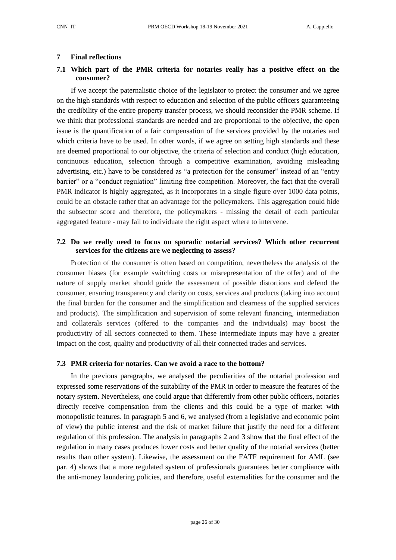# <span id="page-25-0"></span>**7 Final reflections**

# <span id="page-25-1"></span>**7.1 Which part of the PMR criteria for notaries really has a positive effect on the consumer?**

If we accept the paternalistic choice of the legislator to protect the consumer and we agree on the high standards with respect to education and selection of the public officers guaranteeing the credibility of the entire property transfer process, we should reconsider the PMR scheme. If we think that professional standards are needed and are proportional to the objective, the open issue is the quantification of a fair compensation of the services provided by the notaries and which criteria have to be used. In other words, if we agree on setting high standards and these are deemed proportional to our objective, the criteria of selection and conduct (high education, continuous education, selection through a competitive examination, avoiding misleading advertising, etc.) have to be considered as "a protection for the consumer" instead of an "entry barrier" or a "conduct regulation" limiting free competition. Moreover, the fact that the overall PMR indicator is highly aggregated, as it incorporates in a single figure over 1000 data points, could be an obstacle rather that an advantage for the policymakers. This aggregation could hide the subsector score and therefore, the policymakers - missing the detail of each particular aggregated feature - may fail to individuate the right aspect where to intervene.

# <span id="page-25-2"></span>**7.2 Do we really need to focus on sporadic notarial services? Which other recurrent services for the citizens are we neglecting to assess?**

Protection of the consumer is often based on competition, nevertheless the analysis of the consumer biases (for example switching costs or misrepresentation of the offer) and of the nature of supply market should guide the assessment of possible distortions and defend the consumer, ensuring transparency and clarity on costs, services and products (taking into account the final burden for the consumer and the simplification and clearness of the supplied services and products). The simplification and supervision of some relevant financing, intermediation and collaterals services (offered to the companies and the individuals) may boost the productivity of all sectors connected to them. These intermediate inputs may have a greater impact on the cost, quality and productivity of all their connected trades and services.

#### <span id="page-25-3"></span>**7.3 PMR criteria for notaries. Can we avoid a race to the bottom?**

In the previous paragraphs, we analysed the peculiarities of the notarial profession and expressed some reservations of the suitability of the PMR in order to measure the features of the notary system. Nevertheless, one could argue that differently from other public officers, notaries directly receive compensation from the clients and this could be a type of market with monopolistic features. In paragraph 5 and 6, we analysed (from a legislative and economic point of view) the public interest and the risk of market failure that justify the need for a different regulation of this profession. The analysis in paragraphs 2 and 3 show that the final effect of the regulation in many cases produces lower costs and better quality of the notarial services (better results than other system). Likewise, the assessment on the FATF requirement for AML (see par. 4) shows that a more regulated system of professionals guarantees better compliance with the anti-money laundering policies, and therefore, useful externalities for the consumer and the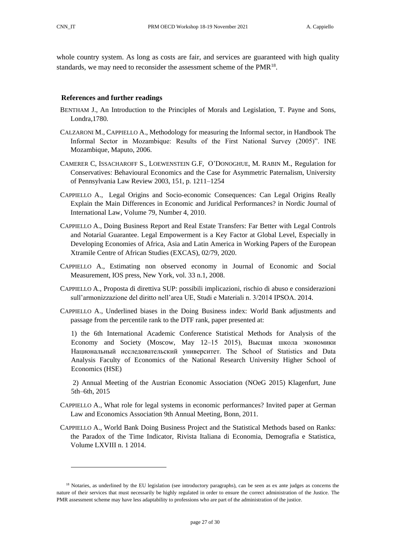whole country system. As long as costs are fair, and services are guaranteed with high quality standards, we may need to reconsider the assessment scheme of the PMR<sup>18</sup>.

### <span id="page-26-0"></span>**References and further readings**

- BENTHAM J., An Introduction to the Principles of Morals and Legislation, T. Payne and Sons, Londra,1780.
- CALZARONI M., CAPPIELLO A., Methodology for measuring the Informal sector, in Handbook The Informal Sector in Mozambique: Results of the First National Survey (2005)". INE Mozambique, Maputo, 2006.
- CAMERER C, ISSACHAROFF S., LOEWENSTEIN G.F, O'DONOGHUE, M. RABIN M., Regulation for Conservatives: Behavioural Economics and the Case for Asymmetric Paternalism, University of Pennsylvania Law Review 2003, 151, p. 1211–1254
- CAPPIELLO A., Legal Origins and Socio-economic Consequences: Can Legal Origins Really Explain the Main Differences in Economic and Juridical Performances? in [Nordic Journal of](http://www.ingentaconnect.com/content/mnp/nord;jsessionid=2jimo42f8g7rm.alice)  [International Law,](http://www.ingentaconnect.com/content/mnp/nord;jsessionid=2jimo42f8g7rm.alice) Volume 79, Number 4, 2010.
- CAPPIELLO A., Doing Business Report and Real Estate Transfers: Far Better with Legal Controls and Notarial Guarantee. Legal Empowerment is a Key Factor at Global Level, Especially in Developing Economies of Africa, Asia and Latin America in Working Papers of the European Xtramile Centre of African Studies (EXCAS), 02/79, 2020.
- CAPPIELLO A., Estimating non observed economy in Journal of Economic and Social Measurement, IOS press, New York, vol. 33 n.1, 2008.
- CAPPIELLO A., Proposta di direttiva SUP: possibili implicazioni, rischio di abuso e considerazioni sull'armonizzazione del diritto nell'area UE, Studi e Materiali n. 3/2014 IPSOA. 2014.
- CAPPIELLO A., Underlined biases in the Doing Business index: World Bank adjustments and passage from the percentile rank to the DTF rank, paper presented at:

1) the 6th International Academic Conference Statistical Methods for Analysis of the Economy and Society (Moscow, May 12–15 2015), Высшая школа экономики Национальный исследовательский университет. The School of Statistics and Data Analysis Faculty of Economics of the National Research University Higher School of Economics (HSE)

2) Annual Meeting of the Austrian Economic Association (NOeG 2015) Klagenfurt, June 5th–6th, 2015

- CAPPIELLO A., What role for legal systems in economic performances? Invited paper at German Law and Economics Association 9th Annual Meeting, Bonn, 2011.
- CAPPIELLO A., World Bank Doing Business Project and the Statistical Methods based on Ranks: the Paradox of the Time Indicator, Rivista Italiana di Economia, Demografia e Statistica, Volume LXVIII n. 1 2014.

<sup>&</sup>lt;sup>18</sup> Notaries, as underlined by the EU legislation (see introductory paragraphs), can be seen as ex ante judges as concerns the nature of their services that must necessarily be highly regulated in order to ensure the correct administration of the Justice. The PMR assessment scheme may have less adaptability to professions who are part of the administration of the justice.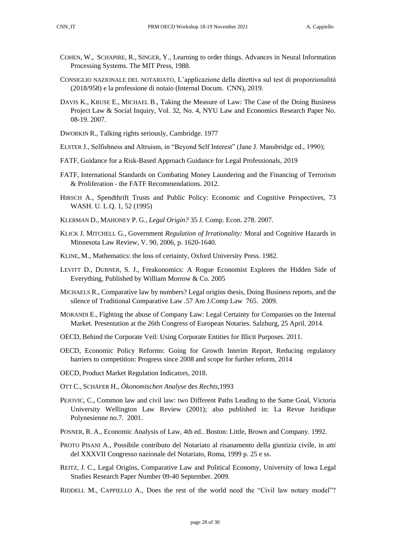- 
- COHEN, W., SCHAPIRE, R., SINGER, Y., Learning to order things. Advances in Neural Information Processing Systems. The MIT Press, 1988.
- CONSIGLIO NAZIONALE DEL NOTARIATO, L'applicazione della direttiva sul test di proporzionalità (2018/958) e la professione di notaio (Internal Docum. CNN), 2019.
- DAVIS K., KRUSE E., MICHAEL B., Taking the Measure of Law: The Case of the Doing Business Project Law & Social Inquiry, Vol. 32, No. 4, NYU Law and Economics Research Paper No. 08-19. 2007.
- DWORKIN R., Talking rights seriously, Cambridge. 1977
- ELSTER J., Selfishness and Altruism, in "Beyond Self Interest" (Jane J. Mansbridge ed., 1990);
- FATF, Guidance for a Risk-Based Approach Guidance for Legal Professionals, 2019
- FATF, International Standards on Combating Money Laundering and the Financing of Terrorism & Proliferation - the FATF Recommendations. 2012.
- HIRSCH A., Spendthrift Trusts and Public Policy: Economic and Cognitive Perspectives, 73 WASH. U. L.Q. 1, 52 (1995)
- KLERMAN D., MAHONEY P. G., *Legal Origin?* 35 J. Comp. Econ. 278. 2007.
- KLICK J*.* MITCHELL G., Government *Regulation of Irrationality:* Moral and Cognitive Hazards in Minnesota Law Review, V. 90, 2006, p. 1620-1640*.*
- KLINE, M., Mathematics: the loss of certainty, Oxford University Press. 1982.
- LEVITT D., DUBNER, S. J., Freakonomics: A Rogue Economist Explores the Hidden Side of Everything, Published by William Morrow & Co. 2005
- MICHAELS R., Comparative law by numbers? Legal origins thesis, Doing Business reports, and the silence of Traditional Comparative Law .57 Am J.Comp Law 765. 2009.
- MORANDI E., Fighting the abuse of Company Law: Legal Certainty for Companies on the Internal Market. Presentation at the 26th Congress of European Notaries. Salzburg, 25 April. 2014.
- OECD*,* Behind the Corporate Veil: Using Corporate Entities for Illicit Purposes. 2011.
- OECD, Economic Policy Reforms: Going for Growth Interim Report, Reducing regulatory barriers to competition: Progress since 2008 and scope for further reform, 2014
- OECD*,* Product Market Regulation Indicators, 2018.
- OTT C., SCHÄFER H., *Ökonomischen Analyse* des *Rechts,*1993
- PEJOVIC, C., Common law and civil law: two Different Paths Leading to the Same Goal, Victoria University Wellington Law Review (2001); also published in: La Revue Juridique Polynesienne no.7. 2001.
- POSNER, R. A., Economic Analysis of Law, 4th ed.. Boston: Little, Brown and Company. 1992.
- PROTO PISANI A., Possibile contributo del Notariato al risanamento della giustizia civile, in *atti*  del XXXVII Congresso nazionale del Notariato, Roma, 1999 p. 25 e ss.
- REITZ, J. C., Legal Origins, Comparative Law and Political Economy, University of Iowa Legal Studies Research Paper Number 09-40 September. 2009.
- RIDDELL M., CAPPIELLO A., Does the rest of the world need the "Civil law notary model"?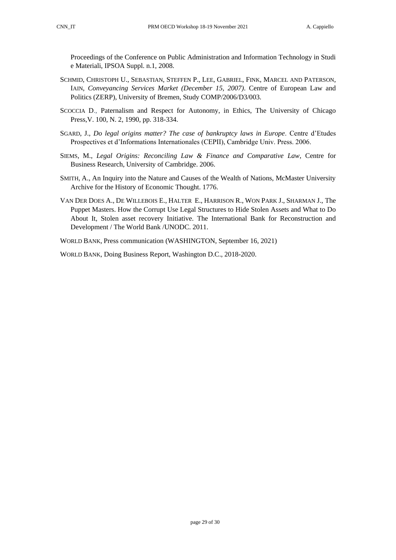Proceedings of the Conference on Public Administration and Information Technology in Studi e Materiali, IPSOA Suppl. n.1, 2008.

- SCHMID, CHRISTOPH U., SEBASTIAN, STEFFEN P., LEE, GABRIEL, FINK, MARCEL AND PATERSON, IAIN, *Conveyancing Services Market (December 15, 2007)*. Centre of European Law and Politics (ZERP), University of Bremen, Study COMP/2006/D3/003.
- SCOCCIA D., Paternalism and Respect for Autonomy, in Ethics, The University of Chicago Press,V. 100, N. 2, 1990, pp. 318-334.
- SGARD, J., *Do legal origins matter? The case of bankruptcy laws in Europe*. Centre d'Etudes Prospectives et d'Informations Internationales (CEPII), Cambridge Univ. Press. 2006.
- SIEMS, M., *Legal Origins: Reconciling Law & Finance and Comparative Law*, Centre for Business Research, University of Cambridge. 2006.
- SMITH, A., An Inquiry into the Nature and Causes of the Wealth of Nations, McMaster University Archive for the History of Economic Thought. 1776.
- VAN DER DOES A., DE WILLEBOIS E., HALTER E., HARRISON R., WON PARK J., SHARMAN J., The Puppet Masters. How the Corrupt Use Legal Structures to Hide Stolen Assets and What to Do About It, Stolen asset recovery Initiative. The International Bank for Reconstruction and Development / The World Bank /UNODC. 2011.
- WORLD BANK, Press communication (WASHINGTON, September 16, 2021)

WORLD BANK, Doing Business Report, Washington D.C., 2018-2020.